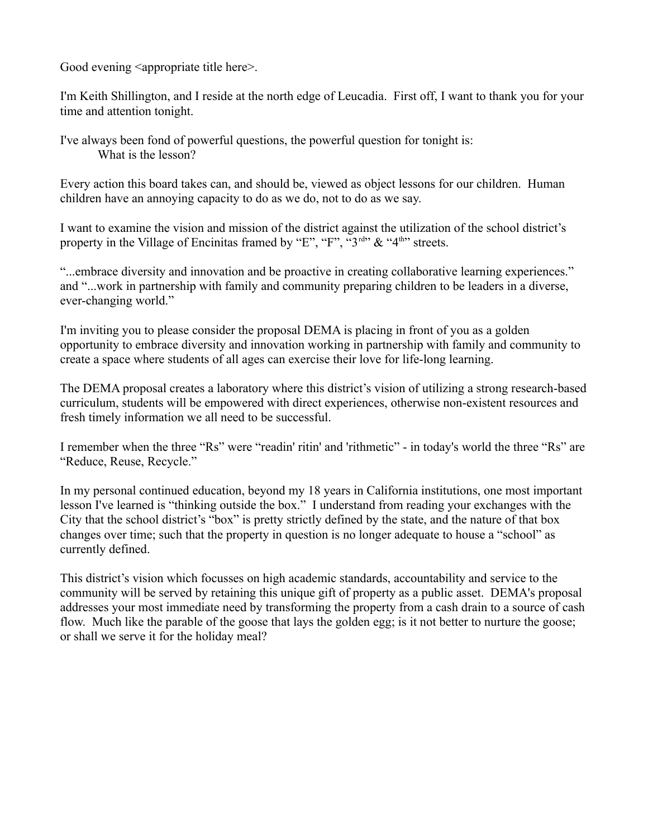Good evening <appropriate title here>.

I'm Keith Shillington, and I reside at the north edge of Leucadia. First off, I want to thank you for your time and attention tonight.

I've always been fond of powerful questions, the powerful question for tonight is: What is the lesson?

Every action this board takes can, and should be, viewed as object lessons for our children. Human children have an annoying capacity to do as we do, not to do as we say.

I want to examine the vision and mission of the district against the utilization of the school district's property in the Village of Encinitas framed by "E", "F", " $3^{rd}$ " & "4<sup>th"</sup> streets.

"...embrace diversity and innovation and be proactive in creating collaborative learning experiences." and "...work in partnership with family and community preparing children to be leaders in a diverse, ever-changing world."

I'm inviting you to please consider the proposal DEMA is placing in front of you as a golden opportunity to embrace diversity and innovation working in partnership with family and community to create a space where students of all ages can exercise their love for life-long learning.

The DEMA proposal creates a laboratory where this district's vision of utilizing a strong research-based curriculum, students will be empowered with direct experiences, otherwise non-existent resources and fresh timely information we all need to be successful.

I remember when the three "Rs" were "readin' ritin' and 'rithmetic" - in today's world the three "Rs" are "Reduce, Reuse, Recycle."

In my personal continued education, beyond my 18 years in California institutions, one most important lesson I've learned is "thinking outside the box." I understand from reading your exchanges with the City that the school district's "box" is pretty strictly defined by the state, and the nature of that box changes over time; such that the property in question is no longer adequate to house a "school" as currently defined.

This district's vision which focusses on high academic standards, accountability and service to the community will be served by retaining this unique gift of property as a public asset. DEMA's proposal addresses your most immediate need by transforming the property from a cash drain to a source of cash flow. Much like the parable of the goose that lays the golden egg; is it not better to nurture the goose; or shall we serve it for the holiday meal?